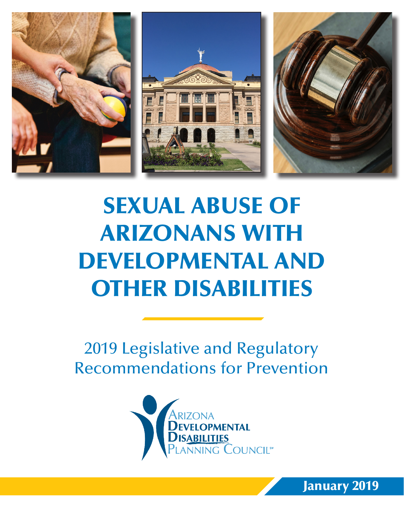

# SEXUAL ABUSE OF ARIZONANS WITH DEVELOPMENTAL AND OTHER DISABILITIES

2019 Legislative and Regulatory Recommendations for Prevention



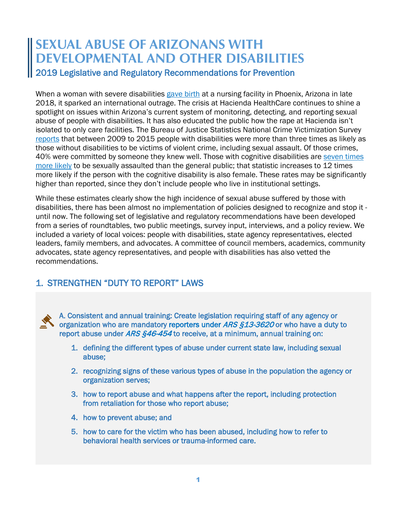# **SEXUAL ABUSE OF ARIZONANS WITH DEVELOPMENTAL AND OTHER DISABILITIES** 2019 Legislative and Regulatory Recommendations for Prevention

When a woman with severe disabilities [gave birth](https://www.azfamily.com/news/woman-in-vegetative-state-gives-birth-at-hacienda-healthcare-in/article_9342c7c4-0fb2-11e9-8138-4fcd53869faf.html) at a nursing facility in Phoenix, Arizona in late 2018, it sparked an international outrage. The crisis at Hacienda HealthCare continues to shine a spotlight on issues within Arizona's current system of monitoring, detecting, and reporting sexual abuse of people with disabilities. It has also educated the public how the rape at Hacienda isn't isolated to only care facilities. The Bureau of Justice Statistics National Crime Victimization Survey [reports](https://www.bjs.gov/content/pub/pdf/capd0915st.pdf) that between 2009 to 2015 people with disabilities were more than three times as likely as those without disabilities to be victims of violent crime, including sexual assault. Of those crimes, 40% were committed by someone they knew well. Those with cognitive disabilities are [seven times](https://www.npr.org/2018/01/08/570224090/the-sexual-assault-epidemic-no-one-talks-about)  [more likely](https://www.npr.org/2018/01/08/570224090/the-sexual-assault-epidemic-no-one-talks-about) to be sexually assaulted than the general public; that statistic increases to 12 times more likely if the person with the cognitive disability is also female. These rates may be significantly higher than reported, since they don't include people who live in institutional settings.

While these estimates clearly show the high incidence of sexual abuse suffered by those with disabilities, there has been almost no implementation of policies designed to recognize and stop it until now. The following set of legislative and regulatory recommendations have been developed from a series of roundtables, two public meetings, survey input, interviews, and a policy review. We included a variety of local voices: people with disabilities, state agency representatives, elected leaders, family members, and advocates. A committee of council members, academics, community advocates, state agency representatives, and people with disabilities has also vetted the recommendations.

### 1. STRENGTHEN "DUTY TO REPORT" LAWS

A. Consistent and annual training: Create legislation requiring staff of any agency or organization who are mandatory reporters under ARS §13-3620 or who have a duty to report abuse under ARS §46-454 to receive, at a minimum, annual training on:

- 1. defining the different types of abuse under current state law, including sexual abuse;
- 2. recognizing signs of these various types of abuse in the population the agency or organization serves;
- 3. how to report abuse and what happens after the report, including protection from retaliation for those who report abuse;
- 4. how to prevent abuse; and
- 5. how to care for the victim who has been abused, including how to refer to behavioral health services or trauma-informed care.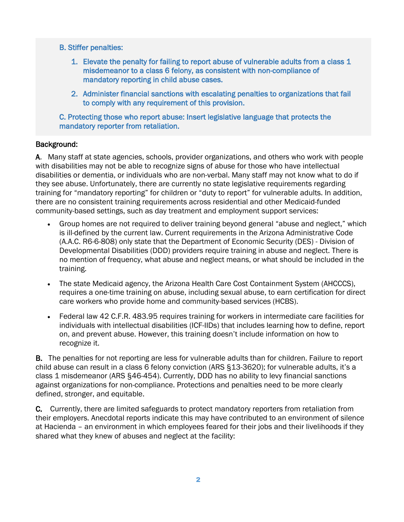#### B. Stiffer penalties:

- 1. Elevate the penalty for failing to report abuse of vulnerable adults from a class 1 misdemeanor to a class 6 felony, as consistent with non-compliance of mandatory reporting in child abuse cases.
- 2. Administer financial sanctions with escalating penalties to organizations that fail to comply with any requirement of this provision.

C. Protecting those who report abuse: Insert legislative language that protects the mandatory reporter from retaliation.

#### Background:

A. Many staff at state agencies, schools, provider organizations, and others who work with people with disabilities may not be able to recognize signs of abuse for those who have intellectual disabilities or dementia, or individuals who are non-verbal. Many staff may not know what to do if they see abuse. Unfortunately, there are currently no state legislative requirements regarding training for "mandatory reporting" for children or "duty to report" for vulnerable adults. In addition, there are no consistent training requirements across residential and other Medicaid-funded community-based settings, such as day treatment and employment support services:

- Group homes are not required to deliver training beyond general "abuse and neglect," which is ill-defined by the current law. Current requirements in the Arizona Administrative Code (A.A.C. R6-6-808) only state that the Department of Economic Security (DES) - Division of Developmental Disabilities (DDD) providers require training in abuse and neglect. There is no mention of frequency, what abuse and neglect means, or what should be included in the training.
- The state Medicaid agency, the Arizona Health Care Cost Containment System (AHCCCS), requires a one-time training on abuse, including sexual abuse, to earn certification for direct care workers who provide home and community-based services (HCBS).
- Federal law 42 C.F.R. 483.95 requires training for workers in intermediate care facilities for individuals with intellectual disabilities (ICF-IIDs) that includes learning how to define, report on, and prevent abuse. However, this training doesn't include information on how to recognize it.

B. The penalties for not reporting are less for vulnerable adults than for children. Failure to report child abuse can result in a class 6 felony conviction (ARS §13-3620); for vulnerable adults, it's a class 1 misdemeanor (ARS §46-454). Currently, DDD has no ability to levy financial sanctions against organizations for non-compliance. Protections and penalties need to be more clearly defined, stronger, and equitable.

C. Currently, there are limited safeguards to protect mandatory reporters from retaliation from their employers. Anecdotal reports indicate this may have contributed to an environment of silence at Hacienda – an environment in which employees feared for their jobs and their livelihoods if they shared what they knew of abuses and neglect at the facility: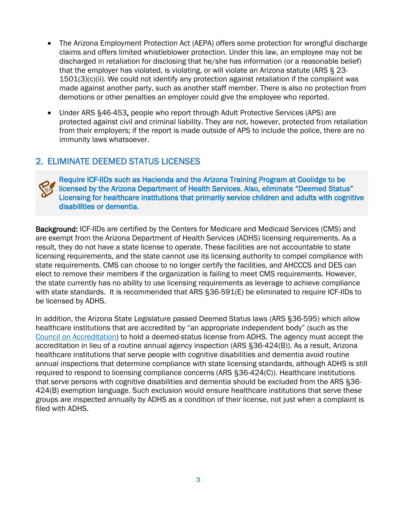- The Arizona Employment Protection Act (AEPA) offers some protection for wrongful discharge claims and offers limited whistleblower protection. Under this law, an employee may not be discharged in retaliation for disclosing that he/she has information (or a reasonable belief) that the employer has violated, is violating, or will violate an Arizona statute (ARS § 23- 1501(3)(c)(ii). We could not identify any protection against retaliation if the complaint was made against another party, such as another staff member. There is also no protection from demotions or other penalties an employer could give the employee who reported.
- Under ARS §46-453, people who report through Adult Protective Services (APS) are protected against civil and criminal liability. They are not, however, protected from retaliation from their employers; if the report is made outside of APS to include the police, there are no immunity laws whatsoever.

#### 2. ELIMINATE DEEMED STATUS LICENSES



Require ICF-IIDs such as Hacienda and the Arizona Training Program at Coolidge to be licensed by the Arizona Department of Health Services. Also, eliminate "Deemed Status" Licensing for healthcare institutions that primarily service children and adults with cognitive disabilities or dementia.

Background: ICF-IIDs are certified by the Centers for Medicare and Medicaid Services (CMS) and are exempt from the Arizona Department of Health Services (ADHS) licensing requirements. As a result, they do not have a state license to operate. These facilities are not accountable to state licensing requirements, and the state cannot use its licensing authority to compel compliance with state requirements. CMS can choose to no longer certify the facilities, and AHCCCS and DES can elect to remove their members if the organization is failing to meet CMS requirements. However, the state currently has no ability to use licensing requirements as leverage to achieve compliance with state standards. It is recommended that ARS §36-591(E) be eliminated to require ICF-IIDs to be licensed by ADHS.

In addition, the Arizona State Legislature passed Deemed Status laws (ARS §36-595) which allow healthcare institutions that are accredited by "an appropriate independent body" (such as the [Council on Accreditation\)](http://coanet.org/home/) to hold a deemed-status license from ADHS. The agency must accept the accreditation in lieu of a routine annual agency inspection (ARS §36-424(B)). As a result, Arizona healthcare institutions that serve people with cognitive disabilities and dementia avoid routine annual inspections that determine compliance with state licensing standards, although ADHS is still required to respond to licensing compliance concerns (ARS §36-424(C)). Healthcare institutions that serve persons with cognitive disabilities and dementia should be excluded from the ARS §36- 424(B) exemption language. Such exclusion would ensure healthcare institutions that serve these groups are inspected annually by ADHS as a condition of their license, not just when a complaint is filed with ADHS.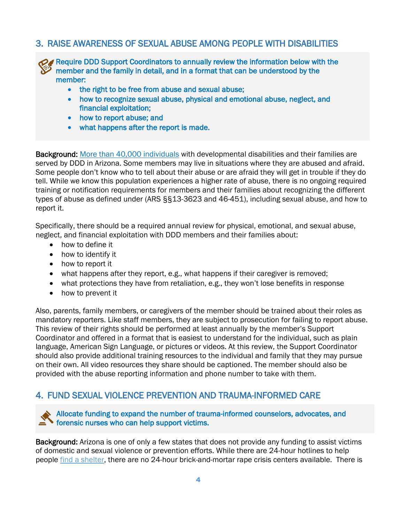#### 3. RAISE AWARENESS OF SEXUAL ABUSE AMONG PEOPLE WITH DISABILITIES

Require DDD Support Coordinators to annually review the information below with the  $\prime$  member and the family in detail, and in a format that can be understood by the member:

- the right to be free from abuse and sexual abuse;
- how to recognize sexual abuse, physical and emotional abuse, neglect, and financial exploitation;
- how to report abuse; and
- what happens after the report is made.

Background: [More than 40,000 individuals](https://des.az.gov/services/disabilities/developmental-disabilities/public-councils-and-other-committees-about-developmental-disabilities/developmental-disabilities-advisory-council) with developmental disabilities and their families are served by DDD in Arizona. Some members may live in situations where they are abused and afraid. Some people don't know who to tell about their abuse or are afraid they will get in trouble if they do tell. While we know this population experiences a higher rate of abuse, there is no ongoing required training or notification requirements for members and their families about recognizing the different types of abuse as defined under (ARS §§13-3623 and 46-451), including sexual abuse, and how to report it.

Specifically, there should be a required annual review for physical, emotional, and sexual abuse, neglect, and financial exploitation with DDD members and their families about:

- how to define it
- how to identify it
- how to report it
- what happens after they report, e.g., what happens if their caregiver is removed;
- what protections they have from retaliation, e.g., they won't lose benefits in response
- how to prevent it

Also, parents, family members, or caregivers of the member should be trained about their roles as mandatory reporters. Like staff members, they are subject to prosecution for failing to report abuse. This review of their rights should be performed at least annually by the member's Support Coordinator and offered in a format that is easiest to understand for the individual, such as plain language, American Sign Language, or pictures or videos. At this review, the Support Coordinator should also provide additional training resources to the individual and family that they may pursue on their own. All video resources they share should be captioned. The member should also be provided with the abuse reporting information and phone number to take with them.

#### 4. FUND SEXUAL VIOLENCE PREVENTION AND TRAUMA-INFORMED CARE

Allocate funding to expand the number of trauma-informed counselors, advocates, and forensic nurses who can help support victims.

Background: Arizona is one of only a few states that does not provide any funding to assist victims of domestic and sexual violence or prevention efforts. While there are 24-hour hotlines to help people [find a shelter,](http://www.southwestnetwork.org/nt19rg/result.asp?engSearch=10) there are no 24-hour brick-and-mortar rape crisis centers available. There is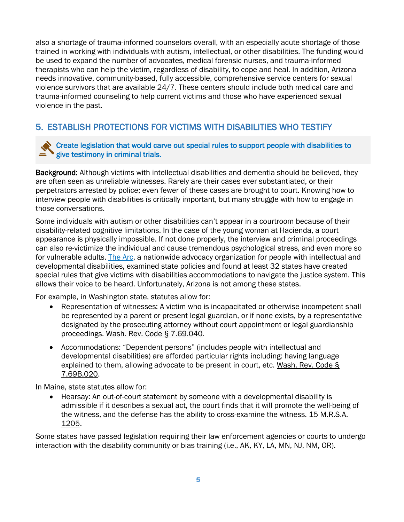also a shortage of trauma-informed counselors overall, with an especially acute shortage of those trained in working with individuals with autism, intellectual, or other disabilities. The funding would be used to expand the number of advocates, medical forensic nurses, and trauma-informed therapists who can help the victim, regardless of disability, to cope and heal. In addition, Arizona needs innovative, community-based, fully accessible, comprehensive service centers for sexual violence survivors that are available 24/7. These centers should include both medical care and trauma-informed counseling to help current victims and those who have experienced sexual violence in the past.

## 5. ESTABLISH PROTECTIONS FOR VICTIMS WITH DISABILITIES WHO TESTIFY

#### Create legislation that would carve out special rules to support people with disabilities to give testimony in criminal trials.

Background: Although victims with intellectual disabilities and dementia should be believed, they are often seen as unreliable witnesses. Rarely are their cases ever substantiated, or their perpetrators arrested by police; even fewer of these cases are brought to court. Knowing how to interview people with disabilities is critically important, but many struggle with how to engage in those conversations.

Some individuals with autism or other disabilities can't appear in a courtroom because of their disability-related cognitive limitations. In the case of the young woman at Hacienda, a court appearance is physically impossible. If not done properly, the interview and criminal proceedings can also re-victimize the individual and cause tremendous psychological stress, and even more so for vulnerable adults. [The Arc,](https://www.thearc.org/) a nationwide advocacy organization for people with intellectual and developmental disabilities, examined state policies and found at least 32 states have created special rules that give victims with disabilities accommodations to navigate the justice system. This allows their voice to be heard. Unfortunately, Arizona is not among these states.

For example, in Washington state, statutes allow for:

- Representation of witnesses: A victim who is incapacitated or otherwise incompetent shall be represented by a parent or present legal guardian, or if none exists, by a representative designated by the prosecuting attorney without court appointment or legal guardianship proceedings. Wash. Rev. Code § 7.69.040.
- Accommodations: "Dependent persons" (includes people with intellectual and developmental disabilities) are afforded particular rights including: having language explained to them, allowing advocate to be present in court, etc. Wash. Rev. Code § 7.69B.020.

In Maine, state statutes allow for:

• Hearsay: An out-of-court statement by someone with a developmental disability is admissible if it describes a sexual act, the court finds that it will promote the well-being of the witness, and the defense has the ability to cross-examine the witness. 15 M.R.S.A. 1205.

Some states have passed legislation requiring their law enforcement agencies or courts to undergo interaction with the disability community or bias training (i.e., AK, KY, LA, MN, NJ, NM, OR).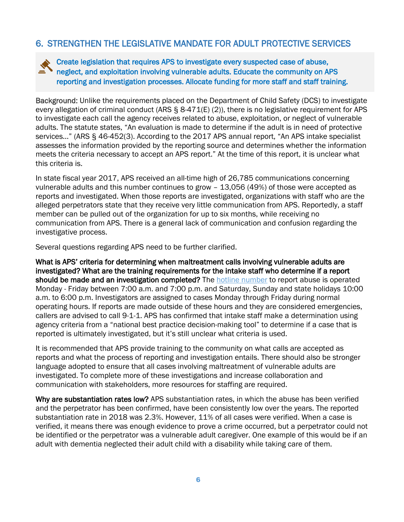#### 6. STRENGTHEN THE LEGISLATIVE MANDATE FOR ADULT PROTECTIVE SERVICES

Create legislation that requires APS to investigate every suspected case of abuse, neglect, and exploitation involving vulnerable adults. Educate the community on APS reporting and investigation processes. Allocate funding for more staff and staff training.

Background: Unlike the requirements placed on the Department of Child Safety (DCS) to investigate every allegation of criminal conduct (ARS § 8-471(E) (2)), there is no legislative requirement for APS to investigate each call the agency receives related to abuse, exploitation, or neglect of vulnerable adults. The statute states, "An evaluation is made to determine if the adult is in need of protective services…" (ARS § 46-452(3). According to the 2017 APS annual report, "An APS intake specialist assesses the information provided by the reporting source and determines whether the information meets the criteria necessary to accept an APS report." At the time of this report, it is unclear what this criteria is.

In state fiscal year 2017, APS received an all-time high of 26,785 communications concerning vulnerable adults and this number continues to grow – 13,056 (49%) of those were accepted as reports and investigated. When those reports are investigated, organizations with staff who are the alleged perpetrators state that they receive very little communication from APS. Reportedly, a staff member can be pulled out of the organization for up to six months, while receiving no communication from APS. There is a general lack of communication and confusion regarding the investigative process.

Several questions regarding APS need to be further clarified.

What is APS' criteria for determining when maltreatment calls involving vulnerable adults are investigated? What are the training requirements for the intake staff who determine if a report should be made and an investigation completed? The [hotline number](https://des.az.gov/services/aging-and-adult/adult-protective-services/adult-protective-services-central-intake-unit) to report abuse is operated Monday - Friday between 7:00 a.m. and 7:00 p.m. and Saturday, Sunday and state holidays 10:00 a.m. to 6:00 p.m. Investigators are assigned to cases Monday through Friday during normal operating hours. If reports are made outside of these hours and they are considered emergencies, callers are advised to call 9-1-1. APS has confirmed that intake staff make a determination using agency criteria from a "national best practice decision-making tool" to determine if a case that is reported is ultimately investigated, but it's still unclear what criteria is used.

It is recommended that APS provide training to the community on what calls are accepted as reports and what the process of reporting and investigation entails. There should also be stronger language adopted to ensure that all cases involving maltreatment of vulnerable adults are investigated. To complete more of these investigations and increase collaboration and communication with stakeholders, more resources for staffing are required.

Why are substantiation rates low? APS substantiation rates, in which the abuse has been verified and the perpetrator has been confirmed, have been consistently low over the years. The reported substantiation rate in 2018 was 2.3%. However, 11% of all cases were verified. When a case is verified, it means there was enough evidence to prove a crime occurred, but a perpetrator could not be identified or the perpetrator was a vulnerable adult caregiver. One example of this would be if an adult with dementia neglected their adult child with a disability while taking care of them.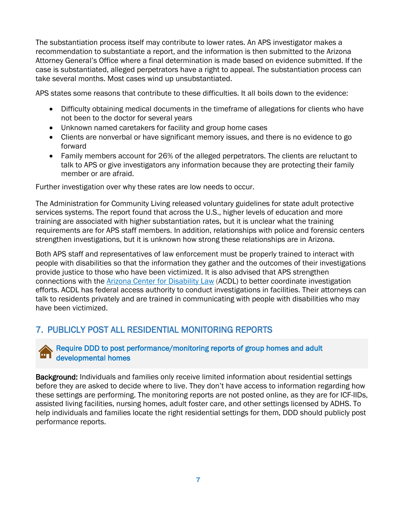The substantiation process itself may contribute to lower rates. An APS investigator makes a recommendation to substantiate a report, and the information is then submitted to the Arizona Attorney General's Office where a final determination is made based on evidence submitted. If the case is substantiated, alleged perpetrators have a right to appeal. The substantiation process can take several months. Most cases wind up unsubstantiated.

APS states some reasons that contribute to these difficulties. It all boils down to the evidence:

- Difficulty obtaining medical documents in the timeframe of allegations for clients who have not been to the doctor for several years
- Unknown named caretakers for facility and group home cases
- Clients are nonverbal or have significant memory issues, and there is no evidence to go forward
- Family members account for 26% of the alleged perpetrators. The clients are reluctant to talk to APS or give investigators any information because they are protecting their family member or are afraid.

Further investigation over why these rates are low needs to occur.

The Administration for Community Living released voluntary guidelines for state adult protective services systems. The report found that across the U.S., higher levels of education and more training are associated with higher substantiation rates, but it is unclear what the training requirements are for APS staff members. In addition, relationships with police and forensic centers strengthen investigations, but it is unknown how strong these relationships are in Arizona.

Both APS staff and representatives of law enforcement must be properly trained to interact with people with disabilities so that the information they gather and the outcomes of their investigations provide justice to those who have been victimized. It is also advised that APS strengthen connections with the [Arizona Center for Disability Law](https://na01.safelinks.protection.outlook.com/?url=https%3A%2F%2Fwww.azdisabilitylaw.org%2F&data=02%7C01%7CSRuf%40azdes.gov%7Ce8ba603fe416422d625e08d6861c2cfa%7C52e192b5925047e49e78ffd347bba407%7C0%7C0%7C636843852899008161&sdata=c8TyAri7oRcFuzVFlEuzBQ8wO%2BN6cBZn3XlUozNZASA%3D&reserved=0) (ACDL) to better coordinate investigation efforts. ACDL has federal access authority to conduct investigations in facilities. Their attorneys can talk to residents privately and are trained in communicating with people with disabilities who may have been victimized.

## 7. PUBLICLY POST ALL RESIDENTIAL MONITORING REPORTS



Background: Individuals and families only receive limited information about residential settings before they are asked to decide where to live. They don't have access to information regarding how these settings are performing. The monitoring reports are not posted online, as they are for ICF-IIDs, assisted living facilities, nursing homes, adult foster care, and other settings licensed by ADHS. To help individuals and families locate the right residential settings for them, DDD should publicly post performance reports.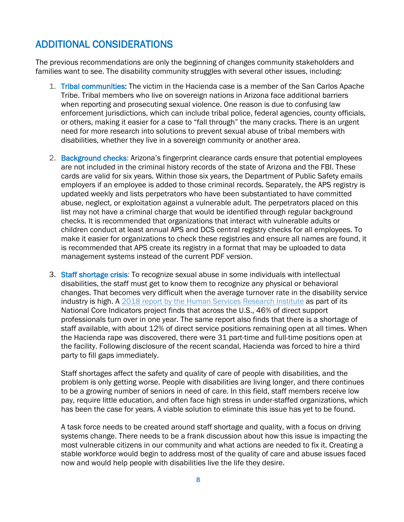## ADDITIONAL CONSIDERATIONS

The previous recommendations are only the beginning of changes community stakeholders and families want to see. The disability community struggles with several other issues, including:

- 1. Tribal communities: The victim in the Hacienda case is a member of the San Carlos Apache Tribe. Tribal members who live on sovereign nations in Arizona face additional barriers when reporting and prosecuting sexual violence. One reason is due to confusing law enforcement jurisdictions, which can include tribal police, federal agencies, county officials, or others, making it easier for a case to "fall through" the many cracks. There is an urgent need for more research into solutions to prevent sexual abuse of tribal members with disabilities, whether they live in a sovereign community or another area.
- 2. Background checks: Arizona's fingerprint clearance cards ensure that potential employees are not included in the criminal history records of the state of Arizona and the FBI. These cards are valid for six years. Within those six years, the Department of Public Safety emails employers if an employee is added to those criminal records. Separately, the APS registry is updated weekly and lists perpetrators who have been substantiated to have committed abuse, neglect, or exploitation against a vulnerable adult. The perpetrators placed on this list may not have a criminal charge that would be identified through regular background checks. It is recommended that organizations that interact with vulnerable adults or children conduct at least annual APS and DCS central registry checks for all employees. To make it easier for organizations to check these registries and ensure all names are found, it is recommended that APS create its registry in a format that may be uploaded to data management systems instead of the current PDF version.
- 3. Staff shortage crisis: To recognize sexual abuse in some individuals with intellectual disabilities, the staff must get to know them to recognize any physical or behavioral changes. That becomes very difficult when the average turnover rate in the disability service industry is high. A [2018 report by the Human Services Research Institute](https://www.nationalcoreindicators.org/upload/core-indicators/1_DSP_Workforce_Challenges_whole.pdf) as part of its National Core Indicators project finds that across the U.S., 46% of direct support professionals turn over in one year. The same report also finds that there is a shortage of staff available, with about 12% of direct service positions remaining open at all times. When the Hacienda rape was discovered, there were 31 part-time and full-time positions open at the facility. Following disclosure of the recent scandal, Hacienda was forced to hire a third party to fill gaps immediately.

Staff shortages affect the safety and quality of care of people with disabilities, and the problem is only getting worse. People with disabilities are living longer, and there continues to be a growing number of seniors in need of care. In this field, staff members receive low pay, require little education, and often face high stress in under-staffed organizations, which has been the case for years. A viable solution to eliminate this issue has yet to be found.

A task force needs to be created around staff shortage and quality, with a focus on driving systems change. There needs to be a frank discussion about how this issue is impacting the most vulnerable citizens in our community and what actions are needed to fix it. Creating a stable workforce would begin to address most of the quality of care and abuse issues faced now and would help people with disabilities live the life they desire.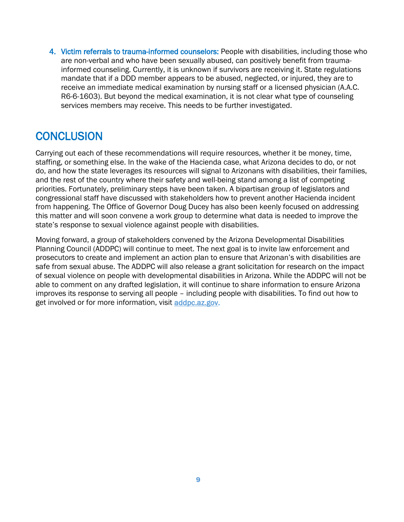4. Victim referrals to trauma-informed counselors: People with disabilities, including those who are non-verbal and who have been sexually abused, can positively benefit from traumainformed counseling. Currently, it is unknown if survivors are receiving it. State regulations mandate that if a DDD member appears to be abused, neglected, or injured, they are to receive an immediate medical examination by nursing staff or a licensed physician (A.A.C. R6-6-1603). But beyond the medical examination, it is not clear what type of counseling services members may receive. This needs to be further investigated.

## **CONCLUSION**

Carrying out each of these recommendations will require resources, whether it be money, time, staffing, or something else. In the wake of the Hacienda case, what Arizona decides to do, or not do, and how the state leverages its resources will signal to Arizonans with disabilities, their families, and the rest of the country where their safety and well-being stand among a list of competing priorities. Fortunately, preliminary steps have been taken. A bipartisan group of legislators and congressional staff have discussed with stakeholders how to prevent another Hacienda incident from happening. The Office of Governor Doug Ducey has also been keenly focused on addressing this matter and will soon convene a work group to determine what data is needed to improve the state's response to sexual violence against people with disabilities.

Moving forward, a group of stakeholders convened by the Arizona Developmental Disabilities Planning Council (ADDPC) will continue to meet. The next goal is to invite law enforcement and prosecutors to create and implement an action plan to ensure that Arizonan's with disabilities are safe from sexual abuse. The ADDPC will also release a grant solicitation for research on the impact of sexual violence on people with developmental disabilities in Arizona. While the ADDPC will not be able to comment on any drafted legislation, it will continue to share information to ensure Arizona improves its response to serving all people – including people with disabilities. To find out how to get involved or for more information, visit [addpc.az.gov.](https://addpc.az.gov/)